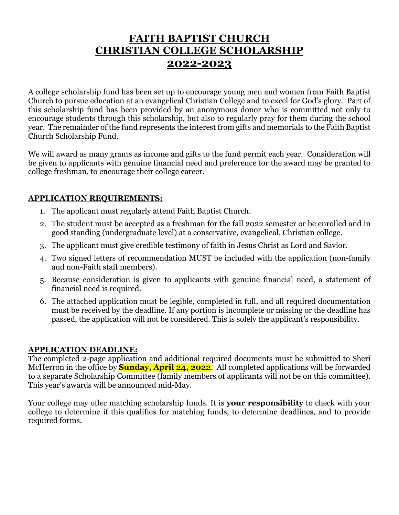## **FAITH BAPTIST CHURCH CHRISTIAN COLLEGE SCHOLARSHIP 2022-2023**

A college scholarship fund has been set up to encourage young men and women from Faith Baptist Church to pursue education at an evangelical Christian College and to excel for God's glory. Part of this scholarship fund has been provided by an anonymous donor who is committed not only to encourage students through this scholarship, but also to regularly pray for them during the school year. The remainder of the fund represents the interest from gifts and memorials to the Faith Baptist Church Scholarship Fund.

We will award as many grants as income and gifts to the fund permit each year. Consideration will be given to applicants with genuine financial need and preference for the award may be granted to college freshman, to encourage their college career.

#### **APPLICATION REQUIREMENTS:**

- 1. The applicant must regularly attend Faith Baptist Church.
- 2. The student must be accepted as a freshman for the fall 2022 semester or be enrolled and in good standing (undergraduate level) at a conservative, evangelical, Christian college.
- 3. The applicant must give credible testimony of faith in Jesus Christ as Lord and Savior.
- 4. Two signed letters of recommendation MUST be included with the application (non-family and non-Faith staff members).
- 5. Because consideration is given to applicants with genuine financial need, a statement of financial need is required.
- 6. The attached application must be legible, completed in full, and all required documentation must be received by the deadline. If any portion is incomplete or missing or the deadline has passed, the application will not be considered. This is solely the applicant's responsibility.

#### **APPLICATION DEADLINE:**

The completed 2-page application and additional required documents must be submitted to Sheri McHerron in the office by **Sunday, April 24, 2022**. All completed applications will be forwarded to a separate Scholarship Committee (family members of applicants will not be on this committee). This year's awards will be announced mid-May.

Your college may offer matching scholarship funds. It is **your responsibility** to check with your college to determine if this qualifies for matching funds, to determine deadlines, and to provide required forms.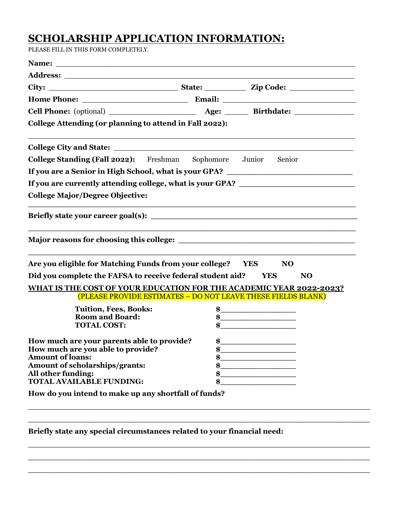# **SCHOLARSHIP APPLICATION INFORMATION:**

PLEASE FILL IN THIS FORM COMPLETELY.

| College Attending (or planning to attend in Fall 2022):                                                                                                                                                                       |                                                             |
|-------------------------------------------------------------------------------------------------------------------------------------------------------------------------------------------------------------------------------|-------------------------------------------------------------|
| College City and State: the collection of the collection of the collection of the collection of the collection of the collection of the collection of the collection of the collection of the collection of the collection of |                                                             |
| <b>College Standing (Fall 2022):</b> Freshman Sophomore Junior Senior                                                                                                                                                         |                                                             |
| If you are a Senior in High School, what is your GPA? __________________________                                                                                                                                              |                                                             |
| If you are currently attending college, what is your GPA?                                                                                                                                                                     |                                                             |
| <b>College Major/Degree Objective:</b>                                                                                                                                                                                        |                                                             |
| Briefly state your career goal(s):                                                                                                                                                                                            | <u> 1989 - Johann Stoff, amerikansk politiker (d. 1989)</u> |
|                                                                                                                                                                                                                               |                                                             |
|                                                                                                                                                                                                                               |                                                             |
| Are you eligible for Matching Funds from your college? YES                                                                                                                                                                    | <b>NO</b>                                                   |
| Did you complete the FAFSA to receive federal student aid? YES                                                                                                                                                                | <b>NO</b>                                                   |
| <u>WHAT IS THE COST OF YOUR EDUCATION FOR THE ACADEMIC YEAR 2022-2023?</u><br>(PLEASE PROVIDE ESTIMATES - DO NOT LEAVE THESE FIELDS BLANK)                                                                                    |                                                             |
| <b>Tuition, Fees, Books:</b>                                                                                                                                                                                                  |                                                             |
| <b>Room and Board:</b>                                                                                                                                                                                                        | $\sim$                                                      |
| <b>TOTAL COST:</b>                                                                                                                                                                                                            | $\bullet$<br>$\sim$                                         |
| How much are your parents able to provide?                                                                                                                                                                                    | $\frac{1}{2}$                                               |
| How much are you able to provide?                                                                                                                                                                                             | \$                                                          |
| <b>Amount of loans:</b>                                                                                                                                                                                                       |                                                             |
| Amount of scholarships/grants:                                                                                                                                                                                                |                                                             |
| All other funding:<br><b>TOTAL AVAILABLE FUNDING:</b>                                                                                                                                                                         |                                                             |

 $\overline{a_1}$  ,  $\overline{a_2}$  ,  $\overline{a_3}$  ,  $\overline{a_4}$  ,  $\overline{a_5}$  ,  $\overline{a_6}$  ,  $\overline{a_7}$  ,  $\overline{a_8}$  ,  $\overline{a_9}$  ,  $\overline{a_9}$  ,  $\overline{a_9}$  ,  $\overline{a_9}$  ,  $\overline{a_9}$  ,  $\overline{a_9}$  ,  $\overline{a_9}$  ,  $\overline{a_9}$  ,  $\overline{a_9}$  ,

\_\_\_\_\_\_\_\_\_\_\_\_\_\_\_\_\_\_\_\_\_\_\_\_\_\_\_\_\_\_\_\_\_\_\_\_\_\_\_\_\_\_\_\_\_\_\_\_\_\_\_\_\_\_\_\_\_\_\_\_\_\_\_\_\_\_\_\_  $\overline{a_1}$  ,  $\overline{a_2}$  ,  $\overline{a_3}$  ,  $\overline{a_4}$  ,  $\overline{a_5}$  ,  $\overline{a_6}$  ,  $\overline{a_7}$  ,  $\overline{a_8}$  ,  $\overline{a_9}$  ,  $\overline{a_9}$  ,  $\overline{a_9}$  ,  $\overline{a_9}$  ,  $\overline{a_9}$  ,  $\overline{a_9}$  ,  $\overline{a_9}$  ,  $\overline{a_9}$  ,  $\overline{a_9}$  ,  $\overline{a_1}$  ,  $\overline{a_2}$  ,  $\overline{a_3}$  ,  $\overline{a_4}$  ,  $\overline{a_5}$  ,  $\overline{a_6}$  ,  $\overline{a_7}$  ,  $\overline{a_8}$  ,  $\overline{a_9}$  ,  $\overline{a_9}$  ,  $\overline{a_9}$  ,  $\overline{a_9}$  ,  $\overline{a_9}$  ,  $\overline{a_9}$  ,  $\overline{a_9}$  ,  $\overline{a_9}$  ,  $\overline{a_9}$  ,

**Briefly state any special circumstances related to your financial need:**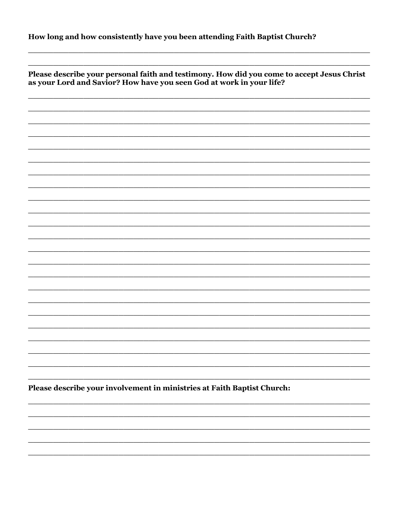| How long and how consistently have you been attending Faith Baptist Church? |  |  |  |
|-----------------------------------------------------------------------------|--|--|--|
|-----------------------------------------------------------------------------|--|--|--|

| Please describe your personal faith and testimony. How did you come to accept Jesus Christ<br>as your Lord and Savior? How have you seen God at work in your life? |  |  |  |
|--------------------------------------------------------------------------------------------------------------------------------------------------------------------|--|--|--|
|                                                                                                                                                                    |  |  |  |
|                                                                                                                                                                    |  |  |  |
|                                                                                                                                                                    |  |  |  |
|                                                                                                                                                                    |  |  |  |
|                                                                                                                                                                    |  |  |  |
|                                                                                                                                                                    |  |  |  |
|                                                                                                                                                                    |  |  |  |
|                                                                                                                                                                    |  |  |  |
|                                                                                                                                                                    |  |  |  |
|                                                                                                                                                                    |  |  |  |
|                                                                                                                                                                    |  |  |  |
|                                                                                                                                                                    |  |  |  |
|                                                                                                                                                                    |  |  |  |
|                                                                                                                                                                    |  |  |  |
|                                                                                                                                                                    |  |  |  |
|                                                                                                                                                                    |  |  |  |
|                                                                                                                                                                    |  |  |  |
|                                                                                                                                                                    |  |  |  |
|                                                                                                                                                                    |  |  |  |
|                                                                                                                                                                    |  |  |  |
|                                                                                                                                                                    |  |  |  |
| Please describe your involvement in ministries at Faith Baptist Church:                                                                                            |  |  |  |
|                                                                                                                                                                    |  |  |  |
|                                                                                                                                                                    |  |  |  |
|                                                                                                                                                                    |  |  |  |
|                                                                                                                                                                    |  |  |  |